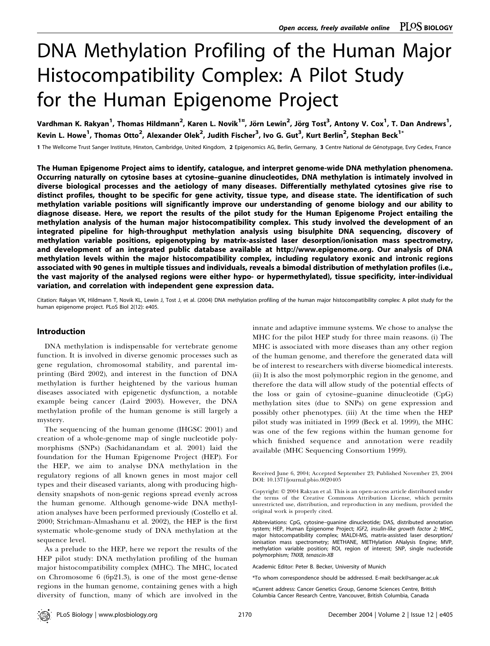# DNA Methylation Profiling of the Human Major Histocompatibility Complex: A Pilot Study for the Human Epigenome Project

Vardhman K. Rakyan<sup>1</sup>, Thomas Hildmann<sup>2</sup>, Karen L. Novik<sup>1¤</sup>, Jörn Lewin<sup>2</sup>, Jörg Tost<sup>3</sup>, Antony V. Cox<sup>1</sup>, T. Dan Andrews<sup>1</sup>, Kevin L. Howe $^1$ , Thomas Otto $^2$ , Alexander Olek $^2$ , Judith Fischer $^3$ , Ivo G. Gut $^3$ , Kurt Berlin $^2$ , Stephan Beck $^{1*}$ 

1 The Wellcome Trust Sanger Institute, Hinxton, Cambridge, United Kingdom, 2 Epigenomics AG, Berlin, Germany, 3 Centre National de Génotypage, Evry Cedex, France

The Human Epigenome Project aims to identify, catalogue, and interpret genome-wide DNA methylation phenomena. Occurring naturally on cytosine bases at cytosine–guanine dinucleotides, DNA methylation is intimately involved in diverse biological processes and the aetiology of many diseases. Differentially methylated cytosines give rise to distinct profiles, thought to be specific for gene activity, tissue type, and disease state. The identification of such methylation variable positions will significantly improve our understanding of genome biology and our ability to diagnose disease. Here, we report the results of the pilot study for the Human Epigenome Project entailing the methylation analysis of the human major histocompatibility complex. This study involved the development of an integrated pipeline for high-throughput methylation analysis using bisulphite DNA sequencing, discovery of methylation variable positions, epigenotyping by matrix-assisted laser desorption/ionisation mass spectrometry, and development of an integrated public database available at http://www.epigenome.org. Our analysis of DNA methylation levels within the major histocompatibility complex, including regulatory exonic and intronic regions associated with 90 genes in multiple tissues and individuals, reveals a bimodal distribution of methylation profiles (i.e., the vast majority of the analysed regions were either hypo- or hypermethylated), tissue specificity, inter-individual variation, and correlation with independent gene expression data.

Citation: Rakyan VK, Hildmann T, Novik KL, Lewin J, Tost J, et al. (2004) DNA methylation profiling of the human major histocompatibility complex: A pilot study for the human epigenome project. PLoS Biol 2(12): e405.

#### Introduction

DNA methylation is indispensable for vertebrate genome function. It is involved in diverse genomic processes such as gene regulation, chromosomal stability, and parental imprinting (Bird 2002), and interest in the function of DNA methylation is further heightened by the various human diseases associated with epigenetic dysfunction, a notable example being cancer (Laird 2003). However, the DNA methylation profile of the human genome is still largely a mystery.

The sequencing of the human genome (IHGSC 2001) and creation of a whole-genome map of single nucleotide polymorphisms (SNPs) (Sachidanandam et al. 2001) laid the foundation for the Human Epigenome Project (HEP). For the HEP, we aim to analyse DNA methylation in the regulatory regions of all known genes in most major cell types and their diseased variants, along with producing highdensity snapshots of non-genic regions spread evenly across the human genome. Although genome-wide DNA methylation analyses have been performed previously (Costello et al. 2000; Strichman-Almashanu et al. 2002), the HEP is the first systematic whole-genome study of DNA methylation at the sequence level.

As a prelude to the HEP, here we report the results of the HEP pilot study: DNA methylation profiling of the human major histocompatibility complex (MHC). The MHC, located on Chromosome 6 (6p21.3), is one of the most gene-dense regions in the human genome, containing genes with a high diversity of function, many of which are involved in the innate and adaptive immune systems. We chose to analyse the MHC for the pilot HEP study for three main reasons. (i) The MHC is associated with more diseases than any other region of the human genome, and therefore the generated data will be of interest to researchers with diverse biomedical interests. (ii) It is also the most polymorphic region in the genome, and therefore the data will allow study of the potential effects of the loss or gain of cytosine–guanine dinucleotide (CpG) methylation sites (due to SNPs) on gene expression and possibly other phenotypes. (iii) At the time when the HEP pilot study was initiated in 1999 (Beck et al. 1999), the MHC was one of the few regions within the human genome for which finished sequence and annotation were readily available (MHC Sequencing Consortium 1999).

Received June 6, 2004; Accepted September 23; Published November 23, 2004 DOI: 10.1371/journal.pbio.0020405

Abbreviations: CpG, cytosine–guanine dinucleotide; DAS, distributed annotation system; HEP, Human Epigenome Project; IGF2, insulin-like growth factor 2; MHC, major histocompatibility complex; MALDI-MS, matrix-assisted laser desorption/ ionisation mass spectrometry; METHANE, METHylation ANalysis Engine; MVP, methylation variable position; ROI, region of interest; SNP, single nucleotide polymorphism; TNXB, tenascin-XB

Academic Editor: Peter B. Becker, University of Munich

\*To whom correspondence should be addressed. E-mail: beck@sanger.ac.uk

¤Current address: Cancer Genetics Group, Genome Sciences Centre, British Columbia Cancer Research Centre, Vancouver, British Columbia, Canada

Copyright: © 2004 Rakyan et al. This is an open-access article distributed under the terms of the Creative Commons Attribution License, which permits unrestricted use, distribution, and reproduction in any medium, provided the original work is properly cited.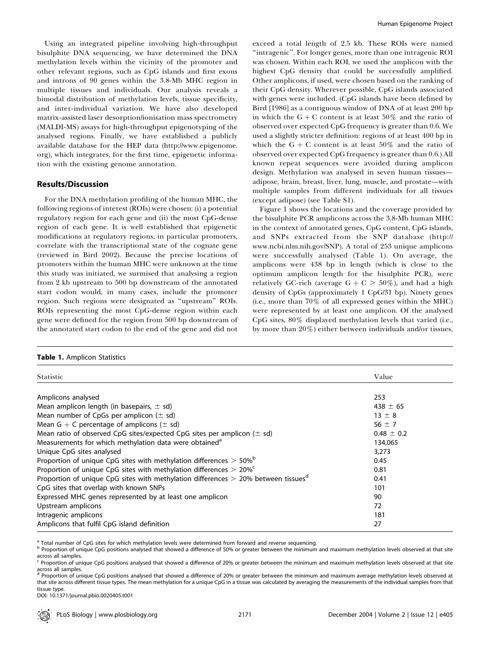Using an integrated pipeline involving high-throughput bisulphite DNA sequencing, we have determined the DNA methylation levels within the vicinity of the promoter and other relevant regions, such as CpG islands and first exons and introns of 90 genes within the 3.8-Mb MHC region in multiple tissues and individuals. Our analysis reveals a bimodal distribution of methylation levels, tissue specificity, and inter-individual variation. We have also developed matrix-assisted laser desorption/ionisation mass spectrometry (MALDI-MS) assays for high-throughput epigenotyping of the analysed regions. Finally, we have established a publicly available database for the HEP data (http://www.epigenome. org), which integrates, for the first time, epigenetic information with the existing genome annotation.

### Results/Discussion

For the DNA methylation profiling of the human MHC, the following regions of interest (ROIs) were chosen: (i) a potential regulatory region for each gene and (ii) the most CpG-dense region of each gene. It is well established that epigenetic modifications at regulatory regions, in particular promoters, correlate with the transcriptional state of the cognate gene (reviewed in Bird 2002). Because the precise locations of promoters within the human MHC were unknown at the time this study was initiated, we surmised that analysing a region from 2 kb upstream to 500 bp downstream of the annotated start codon would, in many cases, include the promoter region. Such regions were designated as ''upstream'' ROIs. ROIs representing the most CpG-dense region within each gene were defined for the region from 500 bp downstream of the annotated start codon to the end of the gene and did not exceed a total length of 2.5 kb. These ROIs were named ''intragenic''. For longer genes, more than one intragenic ROI was chosen. Within each ROI, we used the amplicon with the highest CpG density that could be successfully amplified. Other amplicons, if used, were chosen based on the ranking of their CpG density. Wherever possible, CpG islands associated with genes were included. (CpG islands have been defined by Bird [1986] as a contiguous window of DNA of at least 200 bp in which the  $G + C$  content is at least 50% and the ratio of observed over expected CpG frequency is greater than 0.6. We used a slightly stricter definition: regions of at least 400 bp in which the G + C content is at least 50% and the ratio of observed over expected CpG frequency is greater than 0.6.) All known repeat sequences were avoided during amplicon design. Methylation was analysed in seven human tissues adipose, brain, breast, liver, lung, muscle, and prostate—with multiple samples from different individuals for all tissues (except adipose) (see Table S1).

Figure 1 shows the locations and the coverage provided by the bisulphite PCR amplicons across the 3.8-Mb human MHC in the context of annotated genes, CpG content, CpG islands, and SNPs extracted from the SNP database (http:// www.ncbi.nlm.nih.gov/SNP). A total of 253 unique amplicons were successfully analysed (Table 1). On average, the amplicons were 438 bp in length (which is close to the optimum amplicon length for the bisulphite PCR), were relatively GC-rich (average  $G + C > 50\%$ ), and had a high density of CpGs (approximately 1 CpG/31 bp). Ninety genes (i.e., more than 70% of all expressed genes within the MHC) were represented by at least one amplicon. Of the analysed CpG sites, 80% displayed methylation levels that varied (i.e., by more than 20%) either between individuals and/or tissues,

|  |  | Table 1. Amplicon Statistics |  |
|--|--|------------------------------|--|
|--|--|------------------------------|--|

| <b>Statistic</b>                                                                                 | Value          |
|--------------------------------------------------------------------------------------------------|----------------|
|                                                                                                  |                |
| Amplicons analysed                                                                               | 253            |
| Mean amplicon length (in basepairs, $\pm$ sd)                                                    | $438 \pm 65$   |
| Mean number of CpGs per amplicon $(\pm \text{ sd})$                                              | $13 \pm 8$     |
| Mean G + C percentage of amplicons $(\pm \text{ sd})$                                            | 56 $\pm$ 7     |
| Mean ratio of observed CpG sites/expected CpG sites per amplicon $(\pm s)d$                      | $0.48 \pm 0.2$ |
| Measurements for which methylation data were obtained <sup>a</sup>                               | 134,065        |
| Unique CpG sites analysed                                                                        | 3,273          |
| Proportion of unique CpG sites with methylation differences $>$ 50% <sup>b</sup>                 | 0.45           |
| Proportion of unique CpG sites with methylation differences $> 20\%$ <sup>c</sup>                | 0.81           |
| Proportion of unique CpG sites with methylation differences $>$ 20% between tissues <sup>d</sup> | 0.41           |
| CpG sites that overlap with known SNPs                                                           | 101            |
| Expressed MHC genes represented by at least one amplicon                                         | 90             |
| Upstream amplicons                                                                               | 72             |
| Intragenic amplicons                                                                             | 181            |
| Amplicons that fulfil CpG island definition                                                      | 27             |

Total number of CpG sites for which methylation levels were determined from forward and reverse sequencing.

b Proportion of unique CpG positions analysed that showed a difference of 50% or greater between the minimum and maximum methylation levels observed at that site across all samples.

<sup>c</sup> Proportion of unique CpG positions analysed that showed a difference of 20% or greater between the minimum and maximum methylation levels observed at that site across all samples.

d Proportion of unique CpG positions analysed that showed a difference of 20% or greater between the minimum and maximum average methylation levels observed at that site across different tissue types. The mean methylation for a unique CpG in a tissue was calculated by averaging the measurements of the individual samples from that tissue type.

DOI: 10.1371/journal.pbio.0020405.t001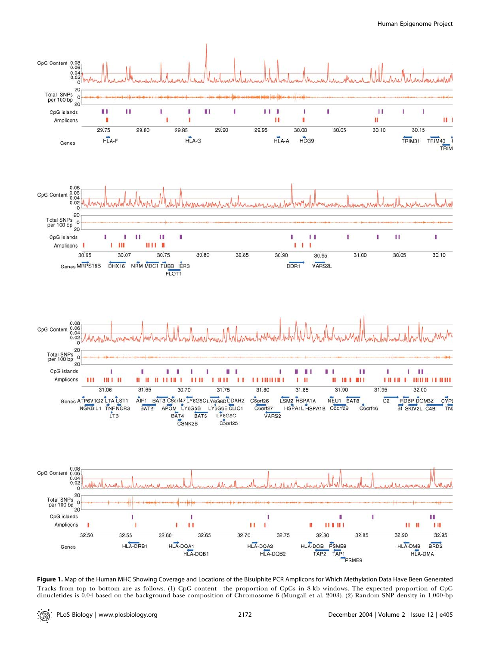Human Epigenome Project



Figure 1. Map of the Human MHC Showing Coverage and Locations of the Bisulphite PCR Amplicons for Which Methylation Data Have Been Generated Tracks from top to bottom are as follows. (1) CpG content—the proportion of CpGs in 8-kb windows. The expected proportion of CpG dinucletides is 0.04 based on the background base composition of Chromosome 6 (Mungall et al. 2003). (2) Random SNP density in 1,000-bp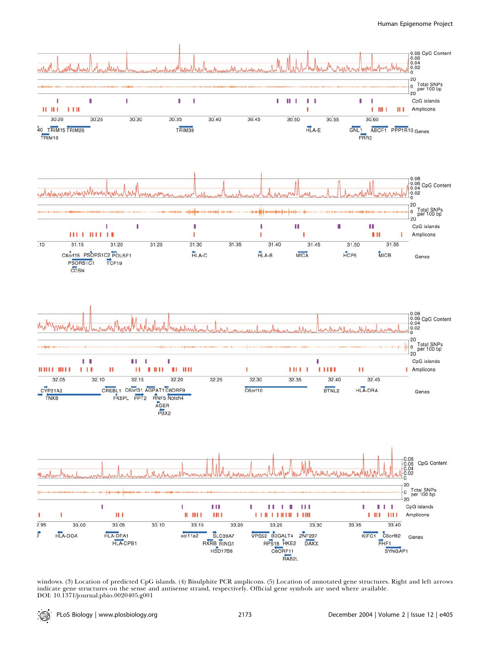#### Human Epigenome Project



windows. (3) Location of predicted CpG islands. (4) Bisulphite PCR amplicons. (5) Location of annotated gene structures. Right and left arrows indicate gene structures on the sense and antisense strand, respectively. Official gene symbols are used where available. DOI: 10.1371/journal.pbio.0020405.g001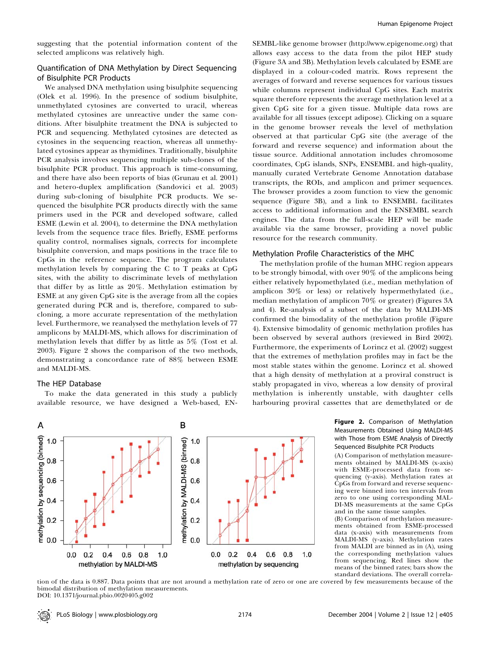suggesting that the potential information content of the selected amplicons was relatively high.

# Quantification of DNA Methylation by Direct Sequencing of Bisulphite PCR Products

We analysed DNA methylation using bisulphite sequencing (Olek et al. 1996). In the presence of sodium bisulphite, unmethylated cytosines are converted to uracil, whereas methylated cytosines are unreactive under the same conditions. After bisulphite treatment the DNA is subjected to PCR and sequencing. Methylated cytosines are detected as cytosines in the sequencing reaction, whereas all unmethylated cytosines appear as thymidines. Traditionally, bisulphite PCR analysis involves sequencing multiple sub-clones of the bisulphite PCR product. This approach is time-consuming, and there have also been reports of bias (Grunau et al. 2001) and hetero-duplex amplification (Sandovici et al. 2003) during sub-cloning of bisulphite PCR products. We sequenced the bisulphite PCR products directly with the same primers used in the PCR and developed software, called ESME (Lewin et al. 2004), to determine the DNA methylation levels from the sequence trace files. Briefly, ESME performs quality control, normalises signals, corrects for incomplete bisulphite conversion, and maps positions in the trace file to CpGs in the reference sequence. The program calculates methylation levels by comparing the C to T peaks at CpG sites, with the ability to discriminate levels of methylation that differ by as little as 20%. Methylation estimation by ESME at any given CpG site is the average from all the copies generated during PCR and is, therefore, compared to subcloning, a more accurate representation of the methylation level. Furthermore, we reanalysed the methylation levels of 77 amplicons by MALDI-MS, which allows for discrimination of methylation levels that differ by as little as 5% (Tost et al. 2003). Figure 2 shows the comparison of the two methods, demonstrating a concordance rate of 88% between ESME and MALDI-MS.

### The HEP Database

To make the data generated in this study a publicly available resource, we have designed a Web-based, EN-



SEMBL-like genome browser (http://www.epigenome.org) that allows easy access to the data from the pilot HEP study (Figure 3A and 3B). Methylation levels calculated by ESME are displayed in a colour-coded matrix. Rows represent the averages of forward and reverse sequences for various tissues while columns represent individual CpG sites. Each matrix square therefore represents the average methylation level at a given CpG site for a given tissue. Multiple data rows are available for all tissues (except adipose). Clicking on a square in the genome browser reveals the level of methylation observed at that particular CpG site (the average of the forward and reverse sequence) and information about the tissue source. Additional annotation includes chromosome coordinates, CpG islands, SNPs, ENSEMBL and high-quality, manually curated Vertebrate Genome Annotation database transcripts, the ROIs, and amplicon and primer sequences. The browser provides a zoom function to view the genomic sequence (Figure 3B), and a link to ENSEMBL facilitates access to additional information and the ENSEMBL search engines. The data from the full-scale HEP will be made available via the same browser, providing a novel public resource for the research community.

#### Methylation Profile Characteristics of the MHC

The methylation profile of the human MHC region appears to be strongly bimodal, with over 90% of the amplicons being either relatively hypomethylated (i.e., median methylation of amplicon 30% or less) or relatively hypermethylated (i.e., median methylation of amplicon 70% or greater) (Figures 3A and 4). Re-analysis of a subset of the data by MALDI-MS confirmed the bimodality of the methylation profile (Figure 4). Extensive bimodality of genomic methylation profiles has been observed by several authors (reviewed in Bird 2002). Furthermore, the experiments of Lorincz et al. (2002) suggest that the extremes of methylation profiles may in fact be the most stable states within the genome. Lorincz et al. showed that a high density of methylation at a proviral construct is stably propagated in vivo, whereas a low density of proviral methylation is inherently unstable, with daughter cells harbouring proviral cassettes that are demethylated or de

> Figure 2. Comparison of Methylation Measurements Obtained Using MALDI-MS with Those from ESME Analysis of Directly Sequenced Bisulphite PCR Products

> (A) Comparison of methylation measurements obtained by MALDI-MS (x-axis) with ESME-processed data from sequencing (y-axis). Methylation rates at CpGs from forward and reverse sequencing were binned into ten intervals from zero to one using corresponding MAL-DI-MS measurements at the same CpGs and in the same tissue samples.

> (B) Comparison of methylation measurements obtained from ESME-processed data (x-axis) with measurements from MALDI-MS (y-axis). Methylation rates from MALDI are binned as in (A), using the corresponding methylation values from sequencing. Red lines show the means of the binned rates; bars show the standard deviations. The overall correla-

tion of the data is 0.887. Data points that are not around a methylation rate of zero or one are covered by few measurements because of the bimodal distribution of methylation measurements. DOI: 10.1371/journal.pbio.0020405.g002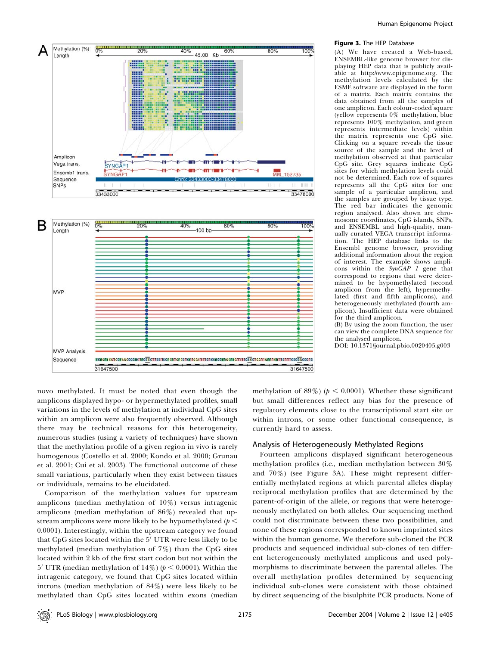



#### Figure 3. The HEP Database

(A) We have created a Web-based, ENSEMBL-like genome browser for displaying HEP data that is publicly available at http://www.epigenome.org. The methylation levels calculated by the ESME software are displayed in the form of a matrix. Each matrix contains the data obtained from all the samples of one amplicon. Each colour-coded square (yellow represents 0% methylation, blue represents 100% methylation, and green represents intermediate levels) within the matrix represents one CpG site. Clicking on a square reveals the tissue source of the sample and the level of methylation observed at that particular CpG site. Grey squares indicate CpG sites for which methylation levels could not be determined. Each row of squares represents all the CpG sites for one sample of a particular amplicon, and the samples are grouped by tissue type. The red bar indicates the genomic region analysed. Also shown are chromosome coordinates, CpG islands, SNPs, and ENSEMBL and high-quality, manually curated VEGA transcript information. The HEP database links to the Ensembl genome browser, providing additional information about the region of interest. The example shows amplicons within the  $Syn\ddot{G}AP$  1 gene that correspond to regions that were determined to be hypomethylated (second amplicon from the left), hypermethylated (first and fifth amplicons), and heterogeneously methylated (fourth amplicon). Insufficient data were obtained for the third amplicon. (B) By using the zoom function, the user

can view the complete DNA sequence for the analysed amplicon.

DOI: 10.1371/journal.pbio.0020405.g003

novo methylated. It must be noted that even though the amplicons displayed hypo- or hypermethylated profiles, small variations in the levels of methylation at individual CpG sites within an amplicon were also frequently observed. Although there may be technical reasons for this heterogeneity, numerous studies (using a variety of techniques) have shown that the methylation profile of a given region in vivo is rarely homogenous (Costello et al. 2000; Kondo et al. 2000; Grunau et al. 2001; Cui et al. 2003). The functional outcome of these small variations, particularly when they exist between tissues or individuals, remains to be elucidated.

Comparison of the methylation values for upstream amplicons (median methylation of 10%) versus intragenic amplicons (median methylation of 86%) revealed that upstream amplicons were more likely to be hypomethylated ( $p <$ 0.0001). Interestingly, within the upstream category we found that CpG sites located within the 5' UTR were less likely to be methylated (median methylation of 7%) than the CpG sites located within 2 kb of the first start codon but not within the 5' UTR (median methylation of  $14\%$ ) ( $p < 0.0001$ ). Within the intragenic category, we found that CpG sites located within introns (median methylation of 84%) were less likely to be methylated than CpG sites located within exons (median

methylation of 89%) ( $p < 0.0001$ ). Whether these significant but small differences reflect any bias for the presence of regulatory elements close to the transcriptional start site or within introns, or some other functional consequence, is currently hard to assess.

#### Analysis of Heterogeneously Methylated Regions

Fourteen amplicons displayed significant heterogeneous methylation profiles (i.e., median methylation between 30% and 70%) (see Figure 3A). These might represent differentially methylated regions at which parental alleles display reciprocal methylation profiles that are determined by the parent-of-origin of the allele, or regions that were heterogeneously methylated on both alleles. Our sequencing method could not discriminate between these two possibilities, and none of these regions corresponded to known imprinted sites within the human genome. We therefore sub-cloned the PCR products and sequenced individual sub-clones of ten different heterogeneously methylated amplicons and used polymorphisms to discriminate between the parental alleles. The overall methylation profiles determined by sequencing individual sub-clones were consistent with those obtained by direct sequencing of the bisulphite PCR products. None of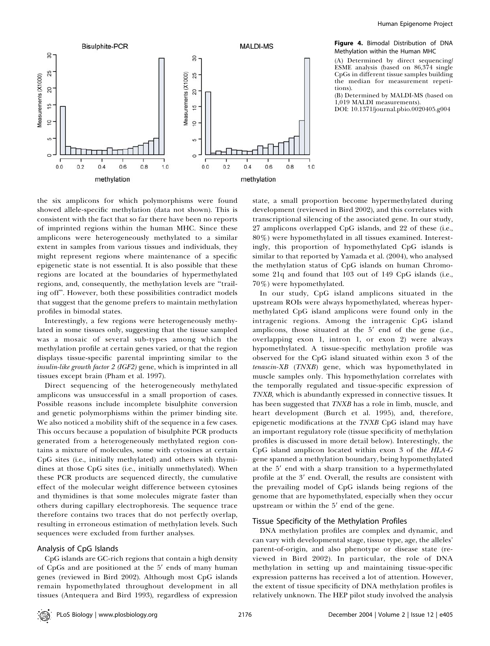

Figure 4. Bimodal Distribution of DNA Methylation within the Human MHC

(A) Determined by direct sequencing/ ESME analysis (based on 86,374 single CpGs in different tissue samples building the median for measurement repetitions).

(B) Determined by MALDI-MS (based on 1,019 MALDI measurements). DOI: 10.1371/journal.pbio.0020405.g004

the six amplicons for which polymorphisms were found showed allele-specific methylation (data not shown). This is consistent with the fact that so far there have been no reports of imprinted regions within the human MHC. Since these amplicons were heterogeneously methylated to a similar extent in samples from various tissues and individuals, they might represent regions where maintenance of a specific epigenetic state is not essential. It is also possible that these regions are located at the boundaries of hypermethylated regions, and, consequently, the methylation levels are ''trailing off''. However, both these possibilities contradict models that suggest that the genome prefers to maintain methylation profiles in bimodal states.

Interestingly, a few regions were heterogeneously methylated in some tissues only, suggesting that the tissue sampled was a mosaic of several sub-types among which the methylation profile at certain genes varied, or that the region displays tissue-specific parental imprinting similar to the insulin-like growth factor 2 (IGF2) gene, which is imprinted in all tissues except brain (Pham et al. 1997).

Direct sequencing of the heterogeneously methylated amplicons was unsuccessful in a small proportion of cases. Possible reasons include incomplete bisulphite conversion and genetic polymorphisms within the primer binding site. We also noticed a mobility shift of the sequence in a few cases. This occurs because a population of bisulphite PCR products generated from a heterogeneously methylated region contains a mixture of molecules, some with cytosines at certain CpG sites (i.e., initially methylated) and others with thymidines at those CpG sites (i.e., initially unmethylated). When these PCR products are sequenced directly, the cumulative effect of the molecular weight difference between cytosines and thymidines is that some molecules migrate faster than others during capillary electrophoresis. The sequence trace therefore contains two traces that do not perfectly overlap, resulting in erroneous estimation of methylation levels. Such sequences were excluded from further analyses.

#### Analysis of CpG Islands

CpG islands are GC-rich regions that contain a high density of CpGs and are positioned at the  $5'$  ends of many human genes (reviewed in Bird 2002). Although most CpG islands remain hypomethylated throughout development in all tissues (Antequera and Bird 1993), regardless of expression

state, a small proportion become hypermethylated during development (reviewed in Bird 2002), and this correlates with transcriptional silencing of the associated gene. In our study, 27 amplicons overlapped CpG islands, and 22 of these (i.e., 80%) were hypomethylated in all tissues examined. Interestingly, this proportion of hypomethylated CpG islands is similar to that reported by Yamada et al. (2004), who analysed the methylation status of CpG islands on human Chromosome 21q and found that 103 out of 149 CpG islands (i.e., 70%) were hypomethylated.

In our study, CpG island amplicons situated in the upstream ROIs were always hypomethylated, whereas hypermethylated CpG island amplicons were found only in the intragenic regions. Among the intragenic CpG island amplicons, those situated at the  $5'$  end of the gene (i.e., overlapping exon 1, intron 1, or exon 2) were always hypomethylated. A tissue-specific methylation profile was observed for the CpG island situated within exon 3 of the tenascin-XB (TNXB) gene, which was hypomethylated in muscle samples only. This hypomethylation correlates with the temporally regulated and tissue-specific expression of TNXB, which is abundantly expressed in connective tissues. It has been suggested that TNXB has a role in limb, muscle, and heart development (Burch et al. 1995), and, therefore, epigenetic modifications at the TNXB CpG island may have an important regulatory role (tissue specificity of methylation profiles is discussed in more detail below). Interestingly, the CpG island amplicon located within exon 3 of the HLA-G gene spanned a methylation boundary, being hypomethylated at the 5' end with a sharp transition to a hypermethylated profile at the 3' end. Overall, the results are consistent with the prevailing model of CpG islands being regions of the genome that are hypomethylated, especially when they occur upstream or within the  $5'$  end of the gene.

## Tissue Specificity of the Methylation Profiles

DNA methylation profiles are complex and dynamic, and can vary with developmental stage, tissue type, age, the alleles' parent-of-origin, and also phenotype or disease state (reviewed in Bird 2002). In particular, the role of DNA methylation in setting up and maintaining tissue-specific expression patterns has received a lot of attention. However, the extent of tissue specificity of DNA methylation profiles is relatively unknown. The HEP pilot study involved the analysis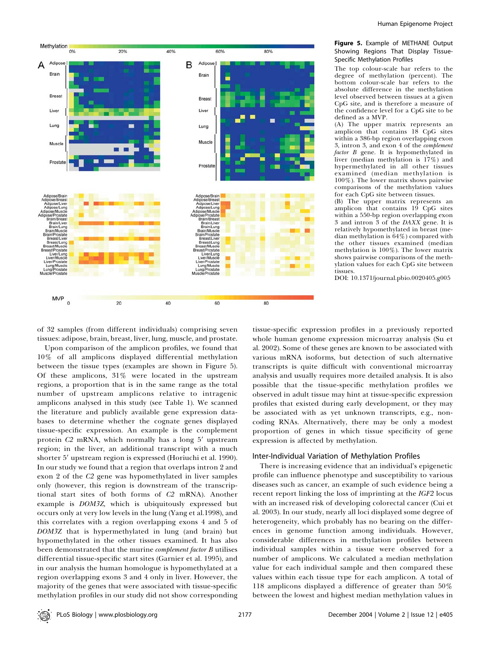

#### Figure 5. Example of METHANE Output Showing Regions That Display Tissue-Specific Methylation Profiles

The top colour-scale bar refers to the degree of methylation (percent). The bottom colour-scale bar refers to the absolute difference in the methylation level observed between tissues at a given CpG site, and is therefore a measure of the confidence level for a CpG site to be defined as a MVP.

(A) The upper matrix represents an amplicon that contains 18 CpG sites within a 386-bp region overlapping exon 3, intron 3, and exon 4 of the complement factor B gene. It is hypomethylated in liver (median methylation is 17%) and hypermethylated in all other tissues examined (median methylation is 100%). The lower matrix shows pairwise comparisons of the methylation values for each CpG site between tissues.

(B) The upper matrix represents an amplicon that contains 19 CpG sites within a 550-bp region overlapping exon 3 and intron 3 of the DAXX gene. It is relatively hypomethylated in breast (median methylation is 64%) compared with the other tissues examined (median methylation is 100%). The lower matrix shows pairwise comparisons of the methylation values for each CpG site between tissues.

DOI: 10.1371/journal.pbio.0020405.g005

of 32 samples (from different individuals) comprising seven tissues: adipose, brain, breast, liver, lung, muscle, and prostate.

Upon comparison of the amplicon profiles, we found that 10% of all amplicons displayed differential methylation between the tissue types (examples are shown in Figure 5). Of these amplicons, 31% were located in the upstream regions, a proportion that is in the same range as the total number of upstream amplicons relative to intragenic amplicons analysed in this study (see Table 1). We scanned the literature and publicly available gene expression databases to determine whether the cognate genes displayed tissue-specific expression. An example is the complement protein  $C2$  mRNA, which normally has a long  $5'$  upstream region; in the liver, an additional transcript with a much shorter 5' upstream region is expressed (Horiuchi et al. 1990). In our study we found that a region that overlaps intron 2 and exon 2 of the C2 gene was hypomethylated in liver samples only (however, this region is downstream of the transcriptional start sites of both forms of C2 mRNA). Another example is DOM3Z, which is ubiquitously expressed but occurs only at very low levels in the lung (Yang et al.1998), and this correlates with a region overlapping exons 4 and 5 of DOM3Z that is hypermethylated in lung (and brain) but hypomethylated in the other tissues examined. It has also been demonstrated that the murine *complement factor B* utilises differential tissue-specific start sites (Garnier et al. 1995), and in our analysis the human homologue is hypomethylated at a region overlapping exons 3 and 4 only in liver. However, the majority of the genes that were associated with tissue-specific methylation profiles in our study did not show corresponding tissue-specific expression profiles in a previously reported whole human genome expression microarray analysis (Su et al. 2002). Some of these genes are known to be associated with various mRNA isoforms, but detection of such alternative transcripts is quite difficult with conventional microarray analysis and usually requires more detailed analysis. It is also possible that the tissue-specific methylation profiles we observed in adult tissue may hint at tissue-specific expression profiles that existed during early development, or they may be associated with as yet unknown transcripts, e.g., noncoding RNAs. Alternatively, there may be only a modest proportion of genes in which tissue specificity of gene expression is affected by methylation.

#### Inter-Individual Variation of Methylation Profiles

There is increasing evidence that an individual's epigenetic profile can influence phenotype and susceptibility to various diseases such as cancer, an example of such evidence being a recent report linking the loss of imprinting at the IGF2 locus with an increased risk of developing colorectal cancer (Cui et al. 2003). In our study, nearly all loci displayed some degree of heterogeneity, which probably has no bearing on the differences in genome function among individuals. However, considerable differences in methylation profiles between individual samples within a tissue were observed for a number of amplicons. We calculated a median methylation value for each individual sample and then compared these values within each tissue type for each amplicon. A total of 118 amplicons displayed a difference of greater than 50% between the lowest and highest median methylation values in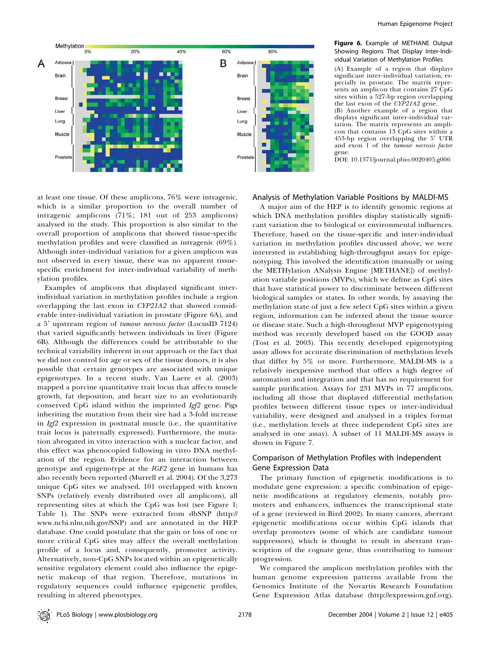

#### Figure 6. Example of METHANE Output Showing Regions That Display Inter-Individual Variation of Methylation Profiles

(A) Example of a region that displays significant inter-individual variation, especially in prostate. The matrix represents an amplicon that contains 27 CpG sites within a 527-bp region overlapping the last exon of the CYP21A2 gene.

(B) Another example of a region that displays significant inter-individual variation. The matrix represents an amplicon that contains 13 CpG sites within a 453-bp region overlapping the 5' UTR and exon 1 of the tumour necrosis factor gene.

DOI: 10.1371/journal.pbio.0020405.g006

at least one tissue. Of these amplicons, 76% were intragenic, which is a similar proportion to the overall number of intragenic amplicons (71%; 181 out of 253 amplicons) analysed in the study. This proportion is also similar to the overall proportion of amplicons that showed tissue-specific methylation profiles and were classified as intragenic (69%). Although inter-individual variation for a given amplicon was not observed in every tissue, there was no apparent tissuespecific enrichment for inter-individual variability of methylation profiles.

Examples of amplicons that displayed significant interindividual variation in methylation profiles include a region overlapping the last exon in CYP21A2 that showed considerable inter-individual variation in prostate (Figure 6A), and a 5' upstream region of tumour necrosis factor (LocusID 7124) that varied significantly between individuals in liver (Figure 6B). Although the differences could be attributable to the technical variability inherent in our approach or the fact that we did not control for age or sex of the tissue donors, it is also possible that certain genotypes are associated with unique epigenotypes. In a recent study, Van Laere et al. (2003) mapped a porcine quantitative trait locus that affects muscle growth, fat deposition, and heart size to an evolutionarily conserved CpG island within the imprinted Igf2 gene. Pigs inheriting the mutation from their sire had a 3-fold increase in Igf2 expression in postnatal muscle (i.e., the quantitative trait locus is paternally expressed). Furthermore, the mutation abrogated in vitro interaction with a nuclear factor, and this effect was phenocopied following in vitro DNA methylation of the region. Evidence for an interaction between genotype and epigenotype at the *IGF2* gene in humans has also recently been reported (Murrell et al. 2004). Of the 3,273 unique CpG sites we analysed, 101 overlapped with known SNPs (relatively evenly distributed over all amplicons), all representing sites at which the CpG was lost (see Figure 1; Table 1). The SNPs were extracted from dbSNP (http:// www.ncbi.nlm.nih.gov/SNP) and are annotated in the HEP database. One could postulate that the gain or loss of one or more critical CpG sites may affect the overall methylation profile of a locus and, consequently, promoter activity. Alternatively, non-CpG SNPs located within an epigenetically sensitive regulatory element could also influence the epigenetic makeup of that region. Therefore, mutations in regulatory sequences could influence epigenetic profiles, resulting in altered phenotypes.

#### Analysis of Methylation Variable Positions by MALDI-MS

A major aim of the HEP is to identify genomic regions at which DNA methylation profiles display statistically significant variation due to biological or environmental influences. Therefore, based on the tissue-specific and inter-individual variation in methylation profiles discussed above, we were interested in establishing high-throughput assays for epigenotyping. This involved the identification (manually or using the METHylation ANalysis Engine [METHANE]) of methylation variable positions (MVPs), which we define as CpG sites that have statistical power to discriminate between different biological samples or states. In other words, by assaying the methylation state of just a few select CpG sites within a given region, information can be inferred about the tissue source or disease state. Such a high-throughout MVP epigenotyping method was recently developed based on the GOOD assay (Tost et al. 2003). This recently developed epigenotyping assay allows for accurate discrimination of methylation levels that differ by 5% or more. Furthermore, MALDI-MS is a relatively inexpensive method that offers a high degree of automation and integration and that has no requirement for sample purification. Assays for 231 MVPs in 77 amplicons, including all those that displayed differential methylation profiles between different tissue types or inter-individual variability, were designed and analysed in a triplex format (i.e., methylation levels at three independent CpG sites are analysed in one assay). A subset of 11 MALDI-MS assays is shown in Figure 7.

## Comparison of Methylation Profiles with Independent Gene Expression Data

The primary function of epigenetic modifications is to modulate gene expression: a specific combination of epigenetic modifications at regulatory elements, notably promoters and enhancers, influences the transcriptional state of a gene (reviewed in Bird 2002). In many cancers, aberrant epigenetic modifications occur within CpG islands that overlap promoters (some of which are candidate tumour suppressors), which is thought to result in aberrant transcription of the cognate gene, thus contributing to tumour progression.

We compared the amplicon methylation profiles with the human genome expression patterns available from the Genomics Institute of the Novartis Research Foundation Gene Expression Atlas database (http://expression.gnf.org).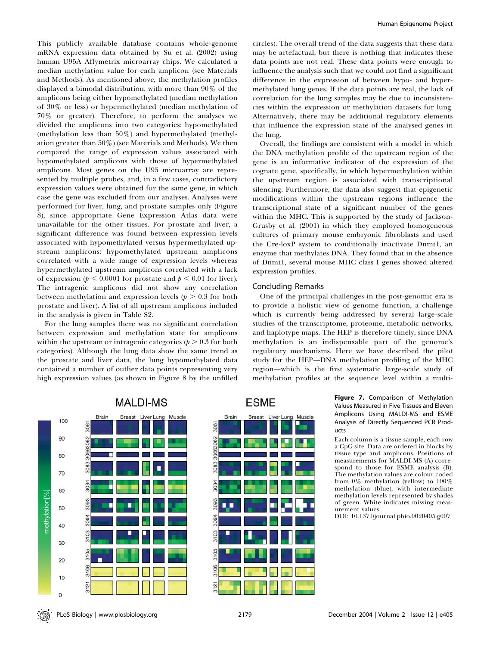This publicly available database contains whole-genome mRNA expression data obtained by Su et al. (2002) using human U95A Affymetrix microarray chips. We calculated a median methylation value for each amplicon (see Materials and Methods). As mentioned above, the methylation profiles displayed a bimodal distribution, with more than 90% of the amplicons being either hypomethylated (median methylation of 30% or less) or hypermethylated (median methylation of 70% or greater). Therefore, to perform the analyses we divided the amplicons into two categories: hypomethylated (methylation less than 50%) and hypermethylated (methylation greater than 50%) (see Materials and Methods). We then compared the range of expression values associated with hypomethylated amplicons with those of hypermethylated amplicons. Most genes on the U95 microarray are represented by multiple probes, and, in a few cases, contradictory expression values were obtained for the same gene, in which case the gene was excluded from our analyses. Analyses were performed for liver, lung, and prostate samples only (Figure 8), since appropriate Gene Expression Atlas data were unavailable for the other tissues. For prostate and liver, a significant difference was found between expression levels associated with hypomethylated versus hypermethylated upstream amplicons: hypomethylated upstream amplicons correlated with a wide range of expression levels whereas hypermethylated upstream amplicons correlated with a lack of expression ( $p < 0.0001$  for prostate and  $p < 0.01$  for liver). The intragenic amplicons did not show any correlation between methylation and expression levels ( $p > 0.3$  for both prostate and liver). A list of all upstream amplicons included in the analysis is given in Table S2.

For the lung samples there was no significant correlation between expression and methylation state for amplicons within the upstream or intragenic categories ( $p > 0.3$  for both categories). Although the lung data show the same trend as the prostate and liver data, the lung hypomethylated data contained a number of outlier data points representing very high expression values (as shown in Figure 8 by the unfilled



circles). The overall trend of the data suggests that these data may be artefactual, but there is nothing that indicates these data points are not real. These data points were enough to influence the analysis such that we could not find a significant difference in the expression of between hypo- and hypermethylated lung genes. If the data points are real, the lack of correlation for the lung samples may be due to inconsistencies within the expression or methylation datasets for lung. Alternatively, there may be additional regulatory elements that influence the expression state of the analysed genes in the lung.

Overall, the findings are consistent with a model in which the DNA methylation profile of the upstream region of the gene is an informative indicator of the expression of the cognate gene, specifically, in which hypermethylation within the upstream region is associated with transcriptional silencing. Furthermore, the data also suggest that epigenetic modifications within the upstream regions influence the transcriptional state of a significant number of the genes within the MHC. This is supported by the study of Jackson-Grusby et al. (2001) in which they employed homogeneous cultures of primary mouse embryonic fibroblasts and used the Cre-loxP system to conditionally inactivate Dnmt1, an enzyme that methylates DNA. They found that in the absence of Dnmt1, several mouse MHC class I genes showed altered expression profiles.

# Concluding Remarks

One of the principal challenges in the post-genomic era is to provide a holistic view of genome function, a challenge which is currently being addressed by several large-scale studies of the transcriptome, proteome, metabolic networks, and haplotype maps. The HEP is therefore timely, since DNA methylation is an indispensable part of the genome's regulatory mechanisms. Here we have described the pilot study for the HEP—DNA methylation profiling of the MHC region—which is the first systematic large-scale study of methylation profiles at the sequence level within a multi-

> Figure 7. Comparison of Methylation Values Measured in Five Tissues and Eleven Amplicons Using MALDI-MS and ESME Analysis of Directly Sequenced PCR Products Each column is a tissue sample, each row

a CpG site. Data are ordered in blocks by tissue type and amplicons. Positions of measurements for MALDI-MS (A) correspond to those for ESME analysis (B). The methylation values are colour coded from  $0\%$  methylation (yellow) to  $100\%$ methylation (blue), with intermediate methylation levels represented by shades of green. White indicates missing measurement values.

DOI: 10.1371/journal.pbio.0020405.g007



**ESME**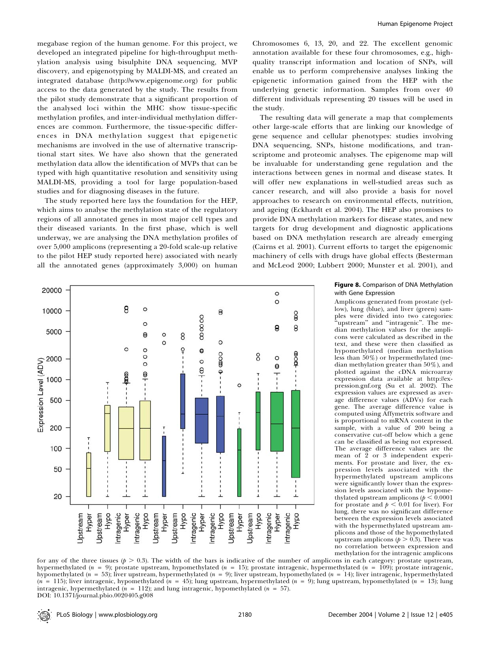megabase region of the human genome. For this project, we developed an integrated pipeline for high-throughput methylation analysis using bisulphite DNA sequencing, MVP discovery, and epigenotyping by MALDI-MS, and created an integrated database (http://www.epigenome.org) for public access to the data generated by the study. The results from the pilot study demonstrate that a significant proportion of the analysed loci within the MHC show tissue-specific methylation profiles, and inter-individual methylation differences are common. Furthermore, the tissue-specific differences in DNA methylation suggest that epigenetic mechanisms are involved in the use of alternative transcriptional start sites. We have also shown that the generated methylation data allow the identification of MVPs that can be typed with high quantitative resolution and sensitivity using MALDI-MS, providing a tool for large population-based studies and for diagnosing diseases in the future.

The study reported here lays the foundation for the HEP, which aims to analyse the methylation state of the regulatory regions of all annotated genes in most major cell types and their diseased variants. In the first phase, which is well underway, we are analysing the DNA methylation profiles of over 5,000 amplicons (representing a 20-fold scale-up relative to the pilot HEP study reported here) associated with nearly all the annotated genes (approximately 3,000) on human

Chromosomes 6, 13, 20, and 22. The excellent genomic annotation available for these four chromosomes, e.g., highquality transcript information and location of SNPs, will enable us to perform comprehensive analyses linking the epigenetic information gained from the HEP with the underlying genetic information. Samples from over 40 different individuals representing 20 tissues will be used in the study.

The resulting data will generate a map that complements other large-scale efforts that are linking our knowledge of gene sequence and cellular phenotypes: studies involving DNA sequencing, SNPs, histone modifications, and transcriptome and proteomic analyses. The epigenome map will be invaluable for understanding gene regulation and the interactions between genes in normal and disease states. It will offer new explanations in well-studied areas such as cancer research, and will also provide a basis for novel approaches to research on environmental effects, nutrition, and ageing (Eckhardt et al. 2004). The HEP also promises to provide DNA methylation markers for disease states, and new targets for drug development and diagnostic applications based on DNA methylation research are already emerging (Cairns et al. 2001). Current efforts to target the epigenomic machinery of cells with drugs have global effects (Besterman and McLeod 2000; Lubbert 2000; Munster et al. 2001), and



#### Figure 8. Comparison of DNA Methylation with Gene Expression

Amplicons generated from prostate (yellow), lung (blue), and liver (green) samples were divided into two categories: 'upstream" and "intragenic". The median methylation values for the amplicons were calculated as described in the text, and these were then classified as hypomethylated (median methylation less than 50%) or hypermethylated (median methylation greater than 50%), and plotted against the cDNA microarray expression data available at http://expression.gnf.org (Su et al. 2002). The expression values are expressed as average difference values (ADVs) for each gene. The average difference value is computed using Affymetrix software and is proportional to mRNA content in the sample, with a value of 200 being a conservative cut-off below which a gene can be classified as being not expressed. The average difference values are the mean of 2 or 3 independent experiments. For prostate and liver, the expression levels associated with the hypermethylated upstream amplicons were significantly lower than the expression levels associated with the hypomethylated upstream amplicons ( $p < 0.0001$ for prostate and  $p < 0.01$  for liver). For lung, there was no significant difference between the expression levels associated with the hypermethylated upstream amplicons and those of the hypomethylated upstream amplicons ( $p > 0.3$ ). There was no correlation between expression and methylation for the intragenic amplicons

for any of the three tissues ( $p > 0.3$ ). The width of the bars is indicative of the number of amplicons in each category: prostate upstream, hypermethylated ( $n = 9$ ); prostate upstream, hypomethylated ( $n = 15$ ); prostate intragenic, hypermethylated ( $n = 109$ ); prostate intragenic, hypomethylated ( $n = 53$ ); liver upstream, hypermethylated ( $n = 9$ ); liver upstream, hypomethylated ( $n = 14$ ); liver intragenic, hypermethylated  $(n = 115)$ ; liver intragenic, hypomethylated  $(n = 45)$ ; lung upstream, hypermethylated  $(n = 9)$ ; lung upstream, hypomethylated  $(n = 13)$ ; lung intragenic, hypermethylated  $(n = 112)$ ; and lung intragenic, hypomethylated  $(n = 57)$ . DOI: 10.1371/journal.pbio.0020405.g008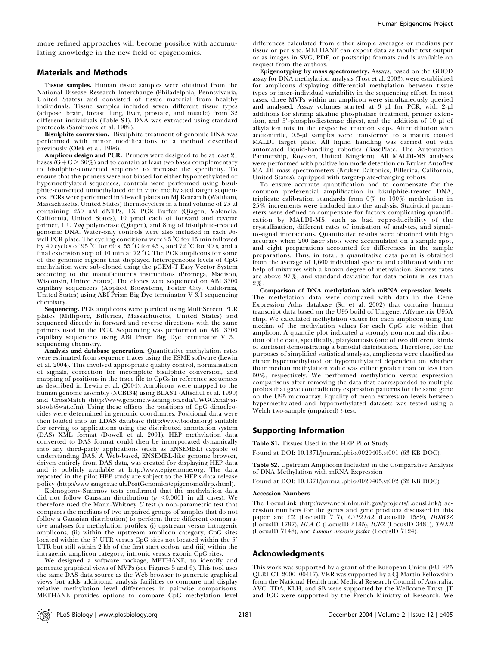## Materials and Methods

Tissue samples. Human tissue samples were obtained from the National Disease Research Interchange (Philadelphia, Pennsylvania, United States) and consisted of tissue material from healthy individuals. Tissue samples included seven different tissue types (adipose, brain, breast, lung, liver, prostate, and muscle) from 32 different individuals (Table S1). DNA was extracted using standard protocols (Sambrook et al. 1989).

Bisulphite conversion. Bisulphite treatment of genomic DNA was performed with minor modifications to a method described previously (Olek et al. 1996).

Amplicon design and PCR. Primers were designed to be at least 21 bases ( $G + C \geq 30\%$ ) and to contain at least two bases complementary to bisulphite-converted sequence to increase the specificity. To ensure that the primers were not biased for either hypomethylated or hypermethylated sequences, controls were performed using bisulphite-converted unmethylated or in vitro methylated target sequences. PCRs were performed in 96-well plates on MJ Research (Waltham, Massachusetts, United States) thermocyclers in a final volume of 25 µl containing 250 µM dNTPs, 1X PCR Buffer (Qiagen, Valencia, California, United States), 10 pmol each of forward and reverse primer, 1 U Taq polymerase (Qiagen), and 8 ng of bisulphite-treated genomic DNA. Water-only controls were also included in each 96 well PCR plate. The cycling conditions were  $95^{\circ}$ C for 15 min followed by 40 cycles of 95 °C for 60 s, 55 °C for 45 s, and 72 °C for 90 s, and a final extension step of 10 min at 72 °C. The PCR amplicons for some of the genomic regions that displayed heterogeneous levels of CpG methylation were sub-cloned using the pGEM-T Easy Vector System according to the manufacturer's instructions (Promega, Madison, Wisconsin, United States). The clones were sequenced on ABI 3700 capillary sequencers (Applied Biosystems, Foster City, California, United States) using ABI Prism Big Dye terminator V 3.1 sequencing chemistry.

Sequencing. PCR amplicons were purified using MultiScreen PCR plates (Millipore, Billerica, Massachusetts, United States) and sequenced directly in forward and reverse directions with the same primers used in the PCR. Sequencing was performed on ABI 3700 capillary sequencers using ABI Prism Big Dye terminator V 3.1 sequencing chemistry.

Analysis and database generation. Quantitative methylation rates were estimated from sequence traces using the ESME software (Lewin et al. 2004). This involved appropriate quality control, normalisation of signals, correction for incomplete bisulphite conversion, and mapping of positions in the trace file to CpGs in reference sequences as described in Lewin et al. (2004). Amplicons were mapped to the human genome assembly (NCBI34) using BLAST (Altschul et al. 1990) and CrossMatch (http://www.genome.washington.edu/UWGC/analysistools/Swat.cfm). Using these offsets the positions of CpG dinucleotides were determined in genomic coordinates. Positional data were then loaded into an LDAS database (http://www.biodas.org) suitable for serving to applications using the distributed annotation system (DAS) XML format (Dowell et al. 2001). HEP methylation data converted to DAS format could then be incorporated dynamically into any third-party applications (such as ENSEMBL) capable of understanding DAS. A Web-based, ENSEMBL-like genome browser, driven entirely from DAS data, was created for displaying HEP data and is publicly available at http://www.epigenome.org. The data reported in the pilot HEP study are subject to the HEP's data release policy (http://www.sanger.ac.uk/PostGenomics/epigenome/drp.shtml).

Kolmogorov-Smirnov tests confirmed that the methylation data did not follow Gaussian distribution ( $p < 0.0001$  in all cases). We therefore used the Mann-Whitney  $U$  test (a non-parametric test that compares the medians of two unpaired groups of samples that do not follow a Gaussian distribution) to perform three different comparative analyses for methylation profiles: (i) upstream versus intragenic amplicons, (ii) within the upstream amplicon category, CpG sites located within the 5' UTR versus CpG sites not located within the 5' UTR but still within 2 kb of the first start codon, and (iii) within the intragenic amplicon category, intronic versus exonic CpG sites.

We designed a software package, METHANE, to identify and generate graphical views of MVPs (see Figures 5 and 6). This tool uses the same DAS data source as the Web browser to generate graphical views but adds additional analysis facilities to compare and display relative methylation level differences in pairwise comparisons. METHANE provides options to compare CpG methylation level

differences calculated from either simple averages or medians per tissue or per site. METHANE can export data as tabular text output or as images in SVG, PDF, or postscript formats and is available on request from the authors.

Epigenotyping by mass spectrometry. Assays, based on the GOOD assay for DNA methylation analysis (Tost et al. 2003), were established for amplicons displaying differential methylation between tissue types or inter-individual variability in the sequencing effort. In most cases, three MVPs within an amplicon were simultaneously queried and analysed. Assay volumes started at 3 µl for PCR, with 2-µl additions for shrimp alkaline phosphatase treatment, primer extension, and  $5'$ -phosphodiesterase digest, and the addition of 10  $\mu$ l of alkylation mix in the respective reaction steps. After dilution with acetonitrile, 0.5-µl samples were transferred to a matrix coated MALDI target plate. All liquid handling was carried out with automated liquid-handling robotics (BasePlate, The Automation Partnership, Royston, United Kingdom). All MALDI-MS analyses were performed with positive ion mode detection on Bruker Autoflex MALDI mass spectrometers (Bruker Daltonics, Billerica, California, United States), equipped with target-plate-changing robots.

To ensure accurate quantification and to compensate for the common preferential amplification in bisulphite-treated DNA, triplicate calibration standards from  $0\%$  to  $100\%$  methylation in 25% increments were included into the analysis. Statistical parameters were defined to compensate for factors complicating quantification by MALDI-MS, such as bad reproducibility of the crystallisation, different rates of ionisation of analytes, and signalto-signal interactions. Quantitative results were obtained with high accuracy when 200 laser shots were accumulated on a sample spot, and eight preparations accounted for differences in the sample preparations. Thus, in total, a quantitative data point is obtained from the average of 1,600 individual spectra and calibrated with the help of mixtures with a known degree of methylation. Success rates are above 97%, and standard deviation for data points is less than 2%.

Comparison of DNA methylation with mRNA expression levels. The methylation data were compared with data in the Gene Expression Atlas database (Su et al. 2002) that contains human transcript data based on the U95 build of Unigene, Affymetrix U95A chip. We calculated methylation values for each amplicon using the median of the methylation values for each CpG site within that amplicon. A quantile plot indicated a strongly non-normal distribution of the data, specifically, platykurtosis (one of two different kinds of kurtosis) demonstrating a bimodal distribution. Therefore, for the purposes of simplified statistical analysis, amplicons were classified as either hypermethylated or hypomethylated dependent on whether their median methylation value was either greater than or less than 50%, respectively. We performed methylation versus expression comparisons after removing the data that corresponded to multiple probes that gave contradictory expression patterns for the same gene on the U95 microarray. Equality of mean expression levels between hypermethylated and hypomethylated datasets was tested using a Welch two-sample (unpaired) t-test.

# Supporting Information

Table S1. Tissues Used in the HEP Pilot Study

Found at DOI: 10.1371/journal.pbio.0020405.st001 (63 KB DOC).

Table S2. Upstream Amplicons Included in the Comparative Analysis of DNA Methylation with mRNA Expression

Found at DOI: 10.1371/journal.pbio.0020405.st002 (32 KB DOC).

#### Accession Numbers

The LocusLink (http://www.ncbi.nlm.nih.gov/projects/LocusLink/) accession numbers for the genes and gene products discussed in this paper are C2 (LocusID 717), CYP21A2 (LocusID 1589), DOM3Z (LocusID 1797), HLA-G (LocusID 3135), IGF2 (LocusID 3481), TNXB (LocusID 7148), and tumour necrosis factor (LocusID 7124).

### Acknowledgments

This work was supported by a grant of the European Union (EU-FP5 QLRI-CT-2000–00417). VKR was supported by a CJ Martin Fellowship from the National Health and Medical Research Council of Australia. AVC, TDA, KLH, and SB were supported by the Wellcome Trust. JT and IGG were supported by the French Ministry of Research. We